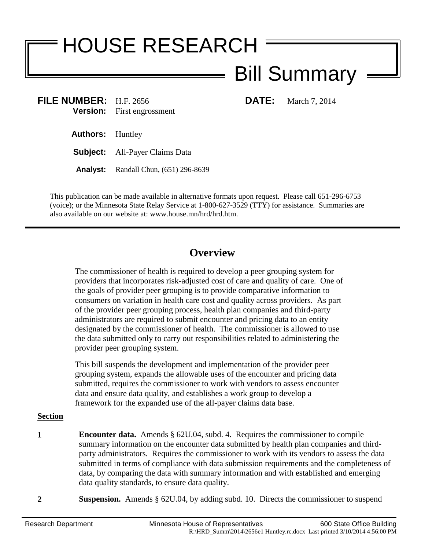# HOUSE RESEARCH

# Bill Summary

**FILE NUMBER:** H.F. 2656 **DATE:** March 7, 2014 **Version:** First engrossment First engrossment

**Authors:** Huntley

**Subject:** All-Payer Claims Data

**Analyst:** Randall Chun, (651) 296-8639

This publication can be made available in alternative formats upon request. Please call 651-296-6753 (voice); or the Minnesota State Relay Service at 1-800-627-3529 (TTY) for assistance. Summaries are also available on our website at: www.house.mn/hrd/hrd.htm.

## **Overview**

The commissioner of health is required to develop a peer grouping system for providers that incorporates risk-adjusted cost of care and quality of care. One of the goals of provider peer grouping is to provide comparative information to consumers on variation in health care cost and quality across providers. As part of the provider peer grouping process, health plan companies and third-party administrators are required to submit encounter and pricing data to an entity designated by the commissioner of health. The commissioner is allowed to use the data submitted only to carry out responsibilities related to administering the provider peer grouping system.

This bill suspends the development and implementation of the provider peer grouping system, expands the allowable uses of the encounter and pricing data submitted, requires the commissioner to work with vendors to assess encounter data and ensure data quality, and establishes a work group to develop a framework for the expanded use of the all-payer claims data base.

### **Section**

- **1 Encounter data.** Amends § 62U.04, subd. 4. Requires the commissioner to compile summary information on the encounter data submitted by health plan companies and thirdparty administrators. Requires the commissioner to work with its vendors to assess the data submitted in terms of compliance with data submission requirements and the completeness of data, by comparing the data with summary information and with established and emerging data quality standards, to ensure data quality.
- **2 Suspension.** Amends § 62U.04, by adding subd. 10. Directs the commissioner to suspend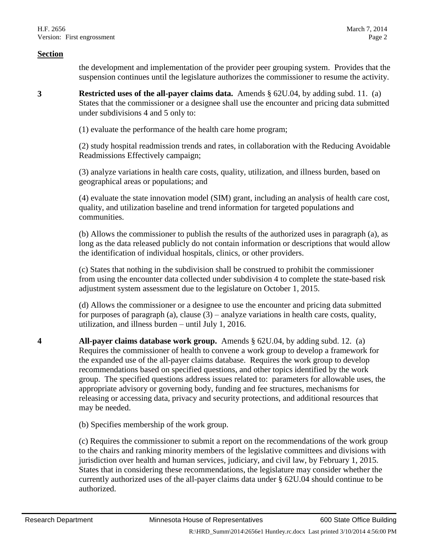#### **Section**

the development and implementation of the provider peer grouping system. Provides that the suspension continues until the legislature authorizes the commissioner to resume the activity.

**3 Restricted uses of the all-payer claims data.** Amends § 62U.04, by adding subd. 11. (a) States that the commissioner or a designee shall use the encounter and pricing data submitted under subdivisions 4 and 5 only to:

(1) evaluate the performance of the health care home program;

(2) study hospital readmission trends and rates, in collaboration with the Reducing Avoidable Readmissions Effectively campaign;

(3) analyze variations in health care costs, quality, utilization, and illness burden, based on geographical areas or populations; and

(4) evaluate the state innovation model (SIM) grant, including an analysis of health care cost, quality, and utilization baseline and trend information for targeted populations and communities.

(b) Allows the commissioner to publish the results of the authorized uses in paragraph (a), as long as the data released publicly do not contain information or descriptions that would allow the identification of individual hospitals, clinics, or other providers.

(c) States that nothing in the subdivision shall be construed to prohibit the commissioner from using the encounter data collected under subdivision 4 to complete the state-based risk adjustment system assessment due to the legislature on October 1, 2015.

(d) Allows the commissioner or a designee to use the encounter and pricing data submitted for purposes of paragraph (a), clause  $(3)$  – analyze variations in health care costs, quality, utilization, and illness burden – until July 1, 2016.

**4 All-payer claims database work group.** Amends § 62U.04, by adding subd. 12. (a) Requires the commissioner of health to convene a work group to develop a framework for the expanded use of the all-payer claims database. Requires the work group to develop recommendations based on specified questions, and other topics identified by the work group. The specified questions address issues related to: parameters for allowable uses, the appropriate advisory or governing body, funding and fee structures, mechanisms for releasing or accessing data, privacy and security protections, and additional resources that may be needed.

(b) Specifies membership of the work group.

(c) Requires the commissioner to submit a report on the recommendations of the work group to the chairs and ranking minority members of the legislative committees and divisions with jurisdiction over health and human services, judiciary, and civil law, by February 1, 2015. States that in considering these recommendations, the legislature may consider whether the currently authorized uses of the all-payer claims data under § 62U.04 should continue to be authorized.